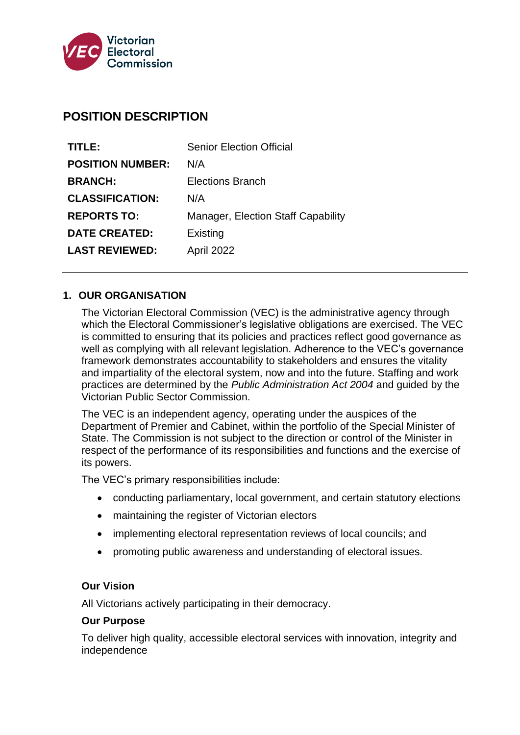

# **POSITION DESCRIPTION**

| TITLE:                  | <b>Senior Election Official</b>           |  |
|-------------------------|-------------------------------------------|--|
| <b>POSITION NUMBER:</b> | N/A                                       |  |
| <b>BRANCH:</b>          | Elections Branch                          |  |
| <b>CLASSIFICATION:</b>  | N/A                                       |  |
| <b>REPORTS TO:</b>      | <b>Manager, Election Staff Capability</b> |  |
| <b>DATE CREATED:</b>    | Existing                                  |  |
| <b>LAST REVIEWED:</b>   | April 2022                                |  |

#### **1. OUR ORGANISATION**

The Victorian Electoral Commission (VEC) is the administrative agency through which the Electoral Commissioner's legislative obligations are exercised. The VEC is committed to ensuring that its policies and practices reflect good governance as well as complying with all relevant legislation. Adherence to the VEC's governance framework demonstrates accountability to stakeholders and ensures the vitality and impartiality of the electoral system, now and into the future. Staffing and work practices are determined by the *Public Administration Act 2004* and guided by the Victorian Public Sector Commission.

The VEC is an independent agency, operating under the auspices of the Department of Premier and Cabinet, within the portfolio of the Special Minister of State. The Commission is not subject to the direction or control of the Minister in respect of the performance of its responsibilities and functions and the exercise of its powers.

The VEC's primary responsibilities include:

- conducting parliamentary, local government, and certain statutory elections
- maintaining the register of Victorian electors
- implementing electoral representation reviews of local councils; and
- promoting public awareness and understanding of electoral issues.

#### **Our Vision**

All Victorians actively participating in their democracy.

#### **Our Purpose**

To deliver high quality, accessible electoral services with innovation, integrity and independence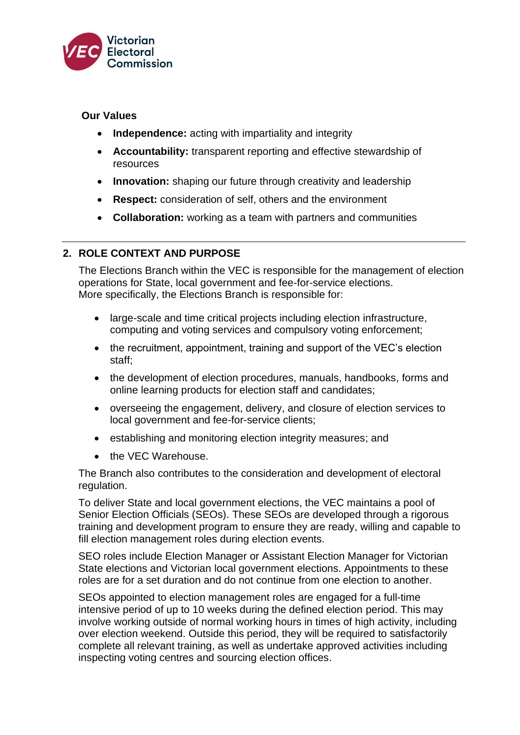

#### **Our Values**

- **Independence:** acting with impartiality and integrity
- **Accountability:** transparent reporting and effective stewardship of resources
- **Innovation:** shaping our future through creativity and leadership
- **Respect:** consideration of self, others and the environment
- **Collaboration:** working as a team with partners and communities

## **2. ROLE CONTEXT AND PURPOSE**

The Elections Branch within the VEC is responsible for the management of election operations for State, local government and fee-for-service elections. More specifically, the Elections Branch is responsible for:

- large-scale and time critical projects including election infrastructure, computing and voting services and compulsory voting enforcement;
- the recruitment, appointment, training and support of the VEC's election staff;
- the development of election procedures, manuals, handbooks, forms and online learning products for election staff and candidates;
- overseeing the engagement, delivery, and closure of election services to local government and fee-for-service clients;
- establishing and monitoring election integrity measures; and
- the VFC Warehouse.

The Branch also contributes to the consideration and development of electoral regulation.

To deliver State and local government elections, the VEC maintains a pool of Senior Election Officials (SEOs). These SEOs are developed through a rigorous training and development program to ensure they are ready, willing and capable to fill election management roles during election events.

SEO roles include Election Manager or Assistant Election Manager for Victorian State elections and Victorian local government elections. Appointments to these roles are for a set duration and do not continue from one election to another.

SEOs appointed to election management roles are engaged for a full-time intensive period of up to 10 weeks during the defined election period. This may involve working outside of normal working hours in times of high activity, including over election weekend. Outside this period, they will be required to satisfactorily complete all relevant training, as well as undertake approved activities including inspecting voting centres and sourcing election offices.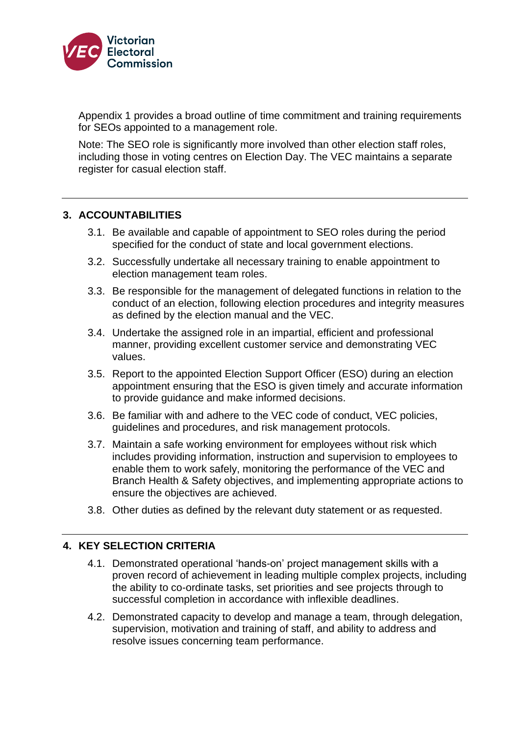

Appendix 1 provides a broad outline of time commitment and training requirements for SEOs appointed to a management role.

Note: The SEO role is significantly more involved than other election staff roles, including those in voting centres on Election Day. The VEC maintains a separate register for casual election staff.

#### **3. ACCOUNTABILITIES**

- 3.1. Be available and capable of appointment to SEO roles during the period specified for the conduct of state and local government elections.
- 3.2. Successfully undertake all necessary training to enable appointment to election management team roles.
- 3.3. Be responsible for the management of delegated functions in relation to the conduct of an election, following election procedures and integrity measures as defined by the election manual and the VEC.
- 3.4. Undertake the assigned role in an impartial, efficient and professional manner, providing excellent customer service and demonstrating VEC values.
- 3.5. Report to the appointed Election Support Officer (ESO) during an election appointment ensuring that the ESO is given timely and accurate information to provide guidance and make informed decisions.
- 3.6. Be familiar with and adhere to the VEC code of conduct, VEC policies, guidelines and procedures, and risk management protocols.
- 3.7. Maintain a safe working environment for employees without risk which includes providing information, instruction and supervision to employees to enable them to work safely, monitoring the performance of the VEC and Branch Health & Safety objectives, and implementing appropriate actions to ensure the objectives are achieved.
- 3.8. Other duties as defined by the relevant duty statement or as requested.

## **4. KEY SELECTION CRITERIA**

- 4.1. Demonstrated operational 'hands-on' project management skills with a proven record of achievement in leading multiple complex projects, including the ability to co-ordinate tasks, set priorities and see projects through to successful completion in accordance with inflexible deadlines.
- 4.2. Demonstrated capacity to develop and manage a team, through delegation, supervision, motivation and training of staff, and ability to address and resolve issues concerning team performance.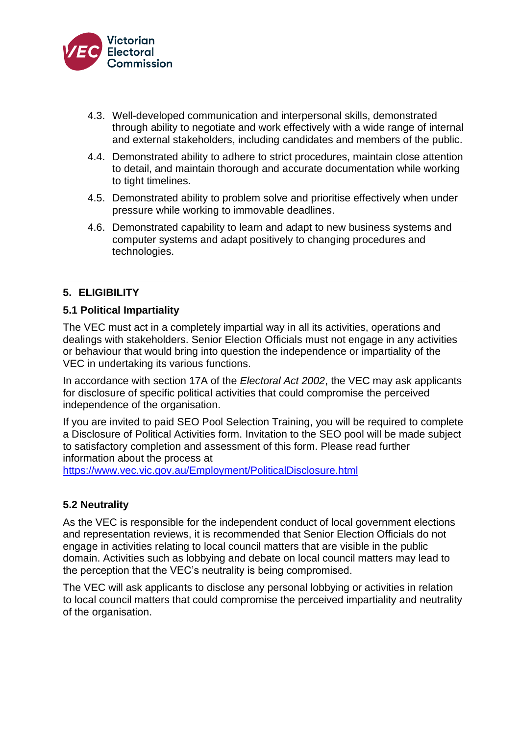

- 4.3. Well-developed communication and interpersonal skills, demonstrated through ability to negotiate and work effectively with a wide range of internal and external stakeholders, including candidates and members of the public.
- 4.4. Demonstrated ability to adhere to strict procedures, maintain close attention to detail, and maintain thorough and accurate documentation while working to tight timelines.
- 4.5. Demonstrated ability to problem solve and prioritise effectively when under pressure while working to immovable deadlines.
- 4.6. Demonstrated capability to learn and adapt to new business systems and computer systems and adapt positively to changing procedures and technologies.

## **5. ELIGIBILITY**

## **5.1 Political Impartiality**

The VEC must act in a completely impartial way in all its activities, operations and dealings with stakeholders. Senior Election Officials must not engage in any activities or behaviour that would bring into question the independence or impartiality of the VEC in undertaking its various functions.

In accordance with section 17A of the *Electoral Act 2002*, the VEC may ask applicants for disclosure of specific political activities that could compromise the perceived independence of the organisation.

If you are invited to paid SEO Pool Selection Training, you will be required to complete a Disclosure of Political Activities form. Invitation to the SEO pool will be made subject to satisfactory completion and assessment of this form. Please read further information about the process at

<https://www.vec.vic.gov.au/Employment/PoliticalDisclosure.html>

## **5.2 Neutrality**

As the VEC is responsible for the independent conduct of local government elections and representation reviews, it is recommended that Senior Election Officials do not engage in activities relating to local council matters that are visible in the public domain. Activities such as lobbying and debate on local council matters may lead to the perception that the VEC's neutrality is being compromised.

The VEC will ask applicants to disclose any personal lobbying or activities in relation to local council matters that could compromise the perceived impartiality and neutrality of the organisation.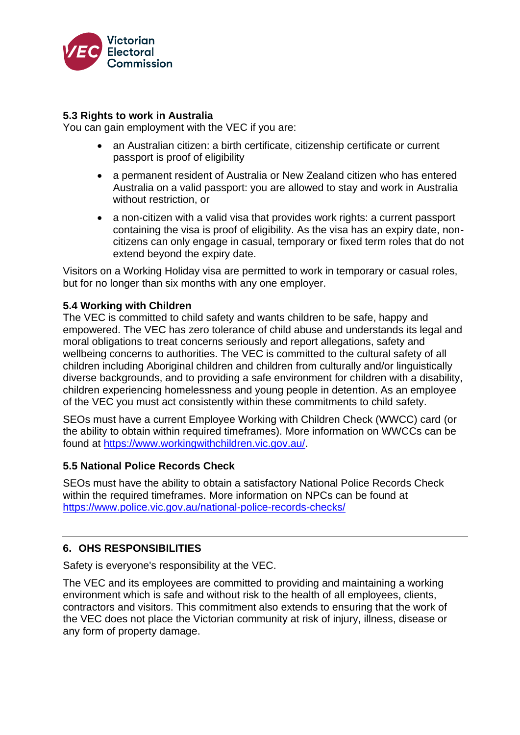

#### **5.3 Rights to work in Australia**

You can gain employment with the VEC if you are:

- an Australian citizen: a birth certificate, citizenship certificate or current passport is proof of eligibility
- a permanent resident of Australia or New Zealand citizen who has entered Australia on a valid passport: you are allowed to stay and work in Australia without restriction, or
- a non-citizen with a valid visa that provides work rights: a current passport containing the visa is proof of eligibility. As the visa has an expiry date, noncitizens can only engage in casual, temporary or fixed term roles that do not extend beyond the expiry date.

Visitors on a Working Holiday visa are permitted to work in temporary or casual roles, but for no longer than six months with any one employer.

#### **5.4 Working with Children**

The VEC is committed to child safety and wants children to be safe, happy and empowered. The VEC has zero tolerance of child abuse and understands its legal and moral obligations to treat concerns seriously and report allegations, safety and wellbeing concerns to authorities. The VEC is committed to the cultural safety of all children including Aboriginal children and children from culturally and/or linguistically diverse backgrounds, and to providing a safe environment for children with a disability, children experiencing homelessness and young people in detention. As an employee of the VEC you must act consistently within these commitments to child safety.

SEOs must have a current Employee Working with Children Check (WWCC) card (or the ability to obtain within required timeframes). More information on WWCCs can be found at [https://www.workingwithchildren.vic.gov.au/.](https://www.workingwithchildren.vic.gov.au/)

#### **5.5 National Police Records Check**

SEOs must have the ability to obtain a satisfactory National Police Records Check within the required timeframes. More information on NPCs can be found at <https://www.police.vic.gov.au/national-police-records-checks/>

## **6. OHS RESPONSIBILITIES**

Safety is everyone's responsibility at the VEC.

The VEC and its employees are committed to providing and maintaining a working environment which is safe and without risk to the health of all employees, clients, contractors and visitors. This commitment also extends to ensuring that the work of the VEC does not place the Victorian community at risk of injury, illness, disease or any form of property damage.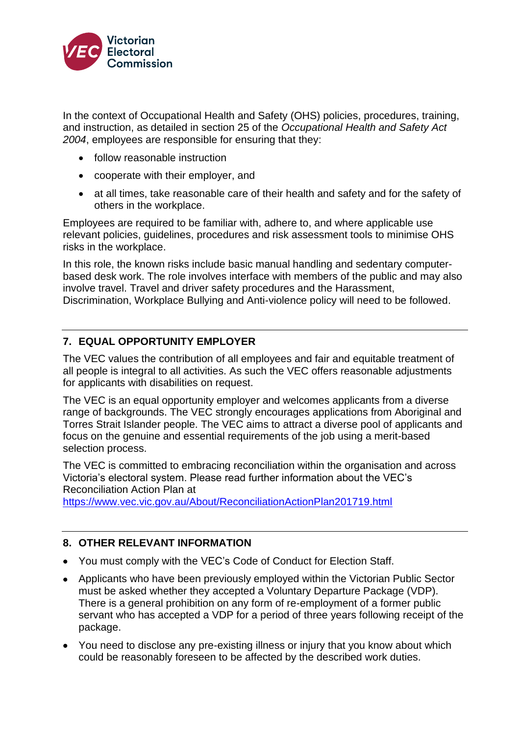

In the context of Occupational Health and Safety (OHS) policies, procedures, training, and instruction, as detailed in section 25 of the *Occupational Health and Safety Act 2004*, employees are responsible for ensuring that they:

- follow reasonable instruction
- cooperate with their employer, and
- at all times, take reasonable care of their health and safety and for the safety of others in the workplace.

Employees are required to be familiar with, adhere to, and where applicable use relevant policies, guidelines, procedures and risk assessment tools to minimise OHS risks in the workplace.

In this role, the known risks include basic manual handling and sedentary computerbased desk work. The role involves interface with members of the public and may also involve travel. Travel and driver safety procedures and the Harassment, Discrimination, Workplace Bullying and Anti-violence policy will need to be followed.

## **7. EQUAL OPPORTUNITY EMPLOYER**

The VEC values the contribution of all employees and fair and equitable treatment of all people is integral to all activities. As such the VEC offers reasonable adjustments for applicants with disabilities on request.

The VEC is an equal opportunity employer and welcomes applicants from a diverse range of backgrounds. The VEC strongly encourages applications from Aboriginal and Torres Strait Islander people. The VEC aims to attract a diverse pool of applicants and focus on the genuine and essential requirements of the job using a merit-based selection process.

The VEC is committed to embracing reconciliation within the organisation and across Victoria's electoral system. Please read further information about the VEC's Reconciliation Action Plan at

<https://www.vec.vic.gov.au/About/ReconciliationActionPlan201719.html>

## **8. OTHER RELEVANT INFORMATION**

- You must comply with the VEC's Code of Conduct for Election Staff.
- Applicants who have been previously employed within the Victorian Public Sector must be asked whether they accepted a Voluntary Departure Package (VDP). There is a general prohibition on any form of re-employment of a former public servant who has accepted a VDP for a period of three years following receipt of the package.
- You need to disclose any pre-existing illness or injury that you know about which could be reasonably foreseen to be affected by the described work duties.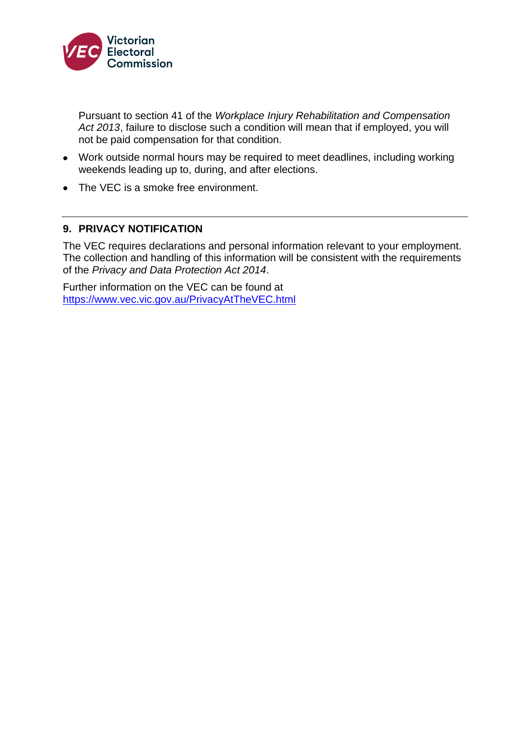

Pursuant to section 41 of the *Workplace Injury Rehabilitation and Compensation Act 2013*, failure to disclose such a condition will mean that if employed, you will not be paid compensation for that condition.

- Work outside normal hours may be required to meet deadlines, including working weekends leading up to, during, and after elections.
- The VEC is a smoke free environment.

## **9. PRIVACY NOTIFICATION**

The VEC requires declarations and personal information relevant to your employment. The collection and handling of this information will be consistent with the requirements of the *Privacy and Data Protection Act 2014*.

Further information on the VEC can be found at https://www.vec.vic.gov.au/PrivacyAtTheVEC.html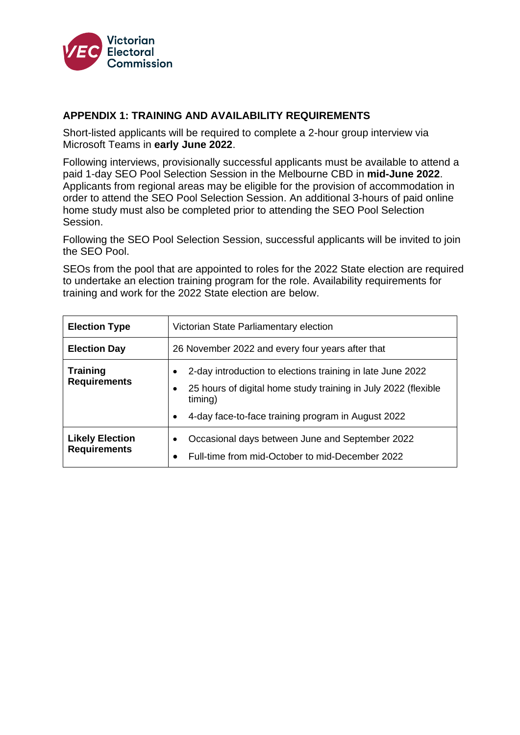

#### **APPENDIX 1: TRAINING AND AVAILABILITY REQUIREMENTS**

Short-listed applicants will be required to complete a 2-hour group interview via Microsoft Teams in **early June 2022**.

Following interviews, provisionally successful applicants must be available to attend a paid 1-day SEO Pool Selection Session in the Melbourne CBD in **mid-June 2022**. Applicants from regional areas may be eligible for the provision of accommodation in order to attend the SEO Pool Selection Session. An additional 3-hours of paid online home study must also be completed prior to attending the SEO Pool Selection Session.

Following the SEO Pool Selection Session, successful applicants will be invited to join the SEO Pool.

SEOs from the pool that are appointed to roles for the 2022 State election are required to undertake an election training program for the role. Availability requirements for training and work for the 2022 State election are below.

| <b>Election Type</b>                          | Victorian State Parliamentary election                                                                                                                                                                       |  |
|-----------------------------------------------|--------------------------------------------------------------------------------------------------------------------------------------------------------------------------------------------------------------|--|
| <b>Election Day</b>                           | 26 November 2022 and every four years after that                                                                                                                                                             |  |
| <b>Training</b><br><b>Requirements</b>        | 2-day introduction to elections training in late June 2022<br>٠<br>25 hours of digital home study training in July 2022 (flexible<br>٠<br>timing)<br>4-day face-to-face training program in August 2022<br>٠ |  |
| <b>Likely Election</b><br><b>Requirements</b> | Occasional days between June and September 2022<br>٠<br>Full-time from mid-October to mid-December 2022<br>٠                                                                                                 |  |